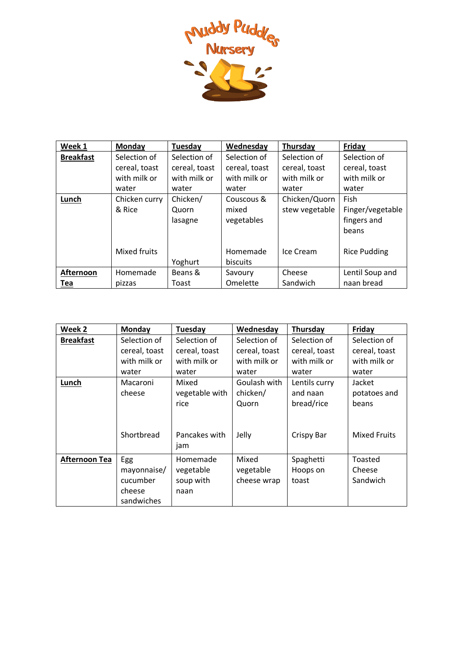

| Week 1           | Monday        | Tuesday       | Wednesday     | Thursday       | Friday              |
|------------------|---------------|---------------|---------------|----------------|---------------------|
| <b>Breakfast</b> | Selection of  | Selection of  | Selection of  | Selection of   | Selection of        |
|                  | cereal, toast | cereal, toast | cereal, toast | cereal, toast  | cereal, toast       |
|                  | with milk or  | with milk or  | with milk or  | with milk or   | with milk or        |
|                  | water         | water         | water         | water          | water               |
| Lunch            | Chicken curry | Chicken/      | Couscous &    | Chicken/Quorn  | Fish                |
|                  | & Rice        | Quorn         | mixed         | stew vegetable | Finger/vegetable    |
|                  |               | lasagne       | vegetables    |                | fingers and         |
|                  |               |               |               |                | beans               |
|                  |               |               |               |                |                     |
|                  | Mixed fruits  |               | Homemade      | Ice Cream      | <b>Rice Pudding</b> |
|                  |               | Yoghurt       | biscuits      |                |                     |
| Afternoon        | Homemade      | Beans &       | Savoury       | Cheese         | Lentil Soup and     |
| Tea              | pizzas        | Toast         | Omelette      | Sandwich       | naan bread          |

| Week 2           | Monday        | Tuesday              | Wednesday     | Thursday          | Friday              |
|------------------|---------------|----------------------|---------------|-------------------|---------------------|
| <b>Breakfast</b> | Selection of  | Selection of         | Selection of  | Selection of      | Selection of        |
|                  | cereal, toast | cereal, toast        | cereal, toast | cereal, toast     | cereal, toast       |
|                  | with milk or  | with milk or         | with milk or  | with milk or      | with milk or        |
|                  | water         | water                | water         | water             | water               |
| Lunch            | Macaroni      | Mixed                | Goulash with  | Lentils curry     | Jacket              |
|                  | cheese        | vegetable with       | chicken/      | and naan          | potatoes and        |
|                  |               | rice                 | Quorn         | bread/rice        | beans               |
|                  | Shortbread    | Pancakes with<br>jam | Jelly         | <b>Crispy Bar</b> | <b>Mixed Fruits</b> |
| Afternoon Tea    | Egg           | Homemade             | Mixed         | Spaghetti         | Toasted             |
|                  | mayonnaise/   | vegetable            | vegetable     | Hoops on          | Cheese              |
|                  | cucumber      | soup with            | cheese wrap   | toast             | Sandwich            |
|                  | cheese        | naan                 |               |                   |                     |
|                  | sandwiches    |                      |               |                   |                     |